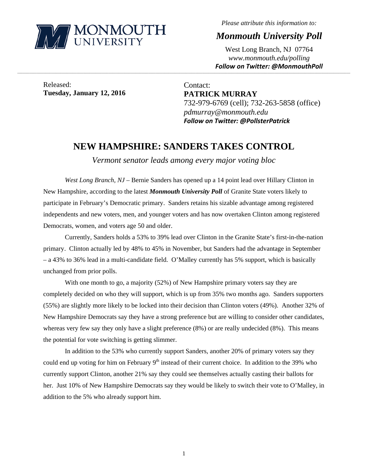

*Please attribute this information to:* 

*Monmouth University Poll* 

West Long Branch, NJ 07764 *www.monmouth.edu/polling Follow on Twitter: @MonmouthPoll*

Released: **Tuesday, January 12, 2016** 

Contact: **PATRICK MURRAY**  732-979-6769 (cell); 732-263-5858 (office) *pdmurray@monmouth.edu Follow on Twitter: @PollsterPatrick*

## **NEW HAMPSHIRE: SANDERS TAKES CONTROL**

,一个人的人都是不是,我们的人都是不是,我们的人都是不是,我们的人都是不是,我们的人都是不是,我们的人都是不是,我们的人都是不是,我们的人都是不是,我们的人都是不

*Vermont senator leads among every major voting bloc* 

*West Long Branch, NJ* – Bernie Sanders has opened up a 14 point lead over Hillary Clinton in New Hampshire, according to the latest *Monmouth University Poll* of Granite State voters likely to participate in February's Democratic primary. Sanders retains his sizable advantage among registered independents and new voters, men, and younger voters and has now overtaken Clinton among registered Democrats, women, and voters age 50 and older.

Currently, Sanders holds a 53% to 39% lead over Clinton in the Granite State's first-in-the-nation primary. Clinton actually led by 48% to 45% in November, but Sanders had the advantage in September – a 43% to 36% lead in a multi-candidate field. O'Malley currently has 5% support, which is basically unchanged from prior polls.

With one month to go, a majority (52%) of New Hampshire primary voters say they are completely decided on who they will support, which is up from 35% two months ago. Sanders supporters (55%) are slightly more likely to be locked into their decision than Clinton voters (49%). Another 32% of New Hampshire Democrats say they have a strong preference but are willing to consider other candidates, whereas very few say they only have a slight preference (8%) or are really undecided (8%). This means the potential for vote switching is getting slimmer.

In addition to the 53% who currently support Sanders, another 20% of primary voters say they could end up voting for him on February 9<sup>th</sup> instead of their current choice. In addition to the 39% who currently support Clinton, another 21% say they could see themselves actually casting their ballots for her. Just 10% of New Hampshire Democrats say they would be likely to switch their vote to O'Malley, in addition to the 5% who already support him.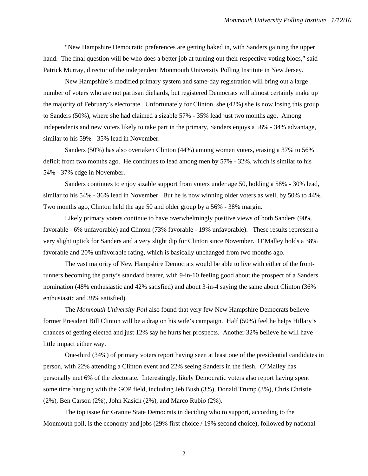"New Hampshire Democratic preferences are getting baked in, with Sanders gaining the upper hand. The final question will be who does a better job at turning out their respective voting blocs," said Patrick Murray, director of the independent Monmouth University Polling Institute in New Jersey.

New Hampshire's modified primary system and same-day registration will bring out a large number of voters who are not partisan diehards, but registered Democrats will almost certainly make up the majority of February's electorate. Unfortunately for Clinton, she (42%) she is now losing this group to Sanders (50%), where she had claimed a sizable 57% - 35% lead just two months ago. Among independents and new voters likely to take part in the primary, Sanders enjoys a 58% - 34% advantage, similar to his 59% - 35% lead in November.

Sanders (50%) has also overtaken Clinton (44%) among women voters, erasing a 37% to 56% deficit from two months ago. He continues to lead among men by 57% - 32%, which is similar to his 54% - 37% edge in November.

Sanders continues to enjoy sizable support from voters under age 50, holding a 58% - 30% lead, similar to his 54% - 36% lead in November. But he is now winning older voters as well, by 50% to 44%. Two months ago, Clinton held the age 50 and older group by a 56% - 38% margin.

Likely primary voters continue to have overwhelmingly positive views of both Sanders (90% favorable - 6% unfavorable) and Clinton (73% favorable - 19% unfavorable). These results represent a very slight uptick for Sanders and a very slight dip for Clinton since November. O'Malley holds a 38% favorable and 20% unfavorable rating, which is basically unchanged from two months ago.

The vast majority of New Hampshire Democrats would be able to live with either of the frontrunners becoming the party's standard bearer, with 9-in-10 feeling good about the prospect of a Sanders nomination (48% enthusiastic and 42% satisfied) and about 3-in-4 saying the same about Clinton (36% enthusiastic and 38% satisfied).

The *Monmouth University Poll* also found that very few New Hampshire Democrats believe former President Bill Clinton will be a drag on his wife's campaign. Half (50%) feel he helps Hillary's chances of getting elected and just 12% say he hurts her prospects. Another 32% believe he will have little impact either way.

One-third (34%) of primary voters report having seen at least one of the presidential candidates in person, with 22% attending a Clinton event and 22% seeing Sanders in the flesh. O'Malley has personally met 6% of the electorate. Interestingly, likely Democratic voters also report having spent some time hanging with the GOP field, including Jeb Bush (3%), Donald Trump (3%), Chris Christie (2%), Ben Carson (2%), John Kasich (2%), and Marco Rubio (2%).

The top issue for Granite State Democrats in deciding who to support, according to the Monmouth poll, is the economy and jobs (29% first choice / 19% second choice), followed by national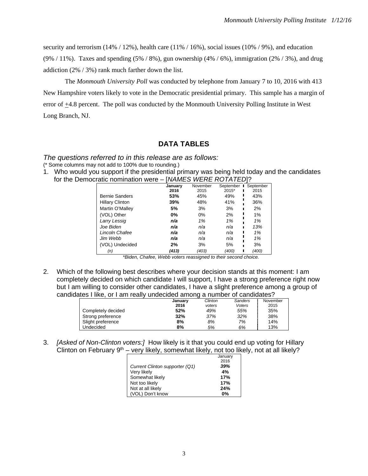security and terrorism  $(14\% / 12\%)$ , health care  $(11\% / 16\%)$ , social issues  $(10\% / 9\%)$ , and education (9% / 11%). Taxes and spending  $(5\% / 8\%)$ , gun ownership  $(4\% / 6\%)$ , immigration  $(2\% / 3\%)$ , and drug addiction (2% / 3%) rank much farther down the list.

The *Monmouth University Poll* was conducted by telephone from January 7 to 10, 2016 with 413 New Hampshire voters likely to vote in the Democratic presidential primary. This sample has a margin of error of +4.8 percent. The poll was conducted by the Monmouth University Polling Institute in West Long Branch, NJ.

## **DATA TABLES**

## *The questions referred to in this release are as follows:*

(\* Some columns may not add to 100% due to rounding.)

1. Who would you support if the presidential primary was being held today and the candidates for the Democratic nomination were – [*NAMES WERE ROTATED*]?

|                        | Januarv | November | September | September<br>$\blacksquare$ |
|------------------------|---------|----------|-----------|-----------------------------|
|                        | 2016    | 2015     | $2015*$   | 2015                        |
| <b>Bernie Sanders</b>  | 53%     | 45%      | 49%       | 43%                         |
| <b>Hillary Clinton</b> | 39%     | 48%      | 41%       | 36%                         |
| Martin O'Malley        | 5%      | 3%       | 3%        | 2%                          |
| (VOL) Other            | 0%      | 0%       | 2%        | 1%                          |
| Larry Lessig           | n/a     | 1%       | 1%        | 1%                          |
| Joe Biden              | n/a     | n/a      | n/a       | 13%                         |
| Lincoln Chafee         | n/a     | n/a      | n/a       | 1%                          |
| Jim Webb               | n/a     | n/a      | n/a       | 1%                          |
| (VOL) Undecided        | 2%      | 3%       | 5%        | 3%                          |
| (n)                    | (413)   | (403)    | (400)     | (400)                       |
|                        |         |          |           |                             |

 *\*Biden, Chafee, Webb voters reassigned to their second choice.* 

2. Which of the following best describes where your decision stands at this moment: I am completely decided on which candidate I will support, I have a strong preference right now but I am willing to consider other candidates, I have a slight preference among a group of candidates I like, or I am really undecided among a number of candidates?

|                    |         | . .     |         |          |
|--------------------|---------|---------|---------|----------|
|                    | January | Clinton | Sanders | November |
|                    | 2016    | voters  | Voters  | 2015     |
| Completely decided | 52%     | 49%     | 55%     | 35%      |
| Strong preference  | 32%     | 37%     | 32%     | 38%      |
| Slight preference  | 8%      | 8%      | 7%      | 14%      |
| Undecided          | 8%      | 5%      | 6%      | 13%      |

3. *[Asked of Non-Clinton voters:]* How likely is it that you could end up voting for Hillary Clinton on February  $9<sup>th</sup>$  – very likely, somewhat likely, not too likely, not at all likely?

|                                | January |
|--------------------------------|---------|
|                                | 2016    |
| Current Clinton supporter (Q1) | 39%     |
| Very likely                    | 4%      |
| Somewhat likely                | 17%     |
| Not too likely                 | 17%     |
| Not at all likely              | 24%     |
| (VOL) Don't know               | 0%      |
|                                |         |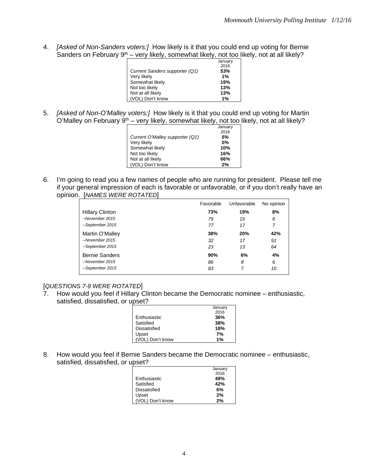4. *[Asked of Non-Sanders voters:]* How likely is it that you could end up voting for Bernie Sanders on February  $9<sup>th</sup>$  – very likely, somewhat likely, not too likely, not at all likely?

|                                | January |
|--------------------------------|---------|
|                                | 2016    |
| Current Sanders supporter (Q1) | 53%     |
| Very likely                    | 1%      |
| Somewhat likely                | 19%     |
| Not too likely                 | 13%     |
| Not at all likely              | 13%     |
| (VOL) Don't know               | 1%      |

5. *[Asked of Non-O'Malley voters:]* How likely is it that you could end up voting for Martin O'Malley on February 9<sup>th</sup> – very likely, somewhat likely, not too likely, not at all likely?

|                                 | January |
|---------------------------------|---------|
|                                 | 2016    |
| Current O'Malley supporter (Q1) | 5%      |
| Very likely                     | 0%      |
| Somewhat likely                 | 10%     |
| Not too likely                  | 16%     |
| Not at all likely               | 66%     |
| (VOL) Don't know                | 2%      |
|                                 |         |

6. I'm going to read you a few names of people who are running for president. Please tell me if your general impression of each is favorable or unfavorable, or if you don't really have an opinion. [*NAMES WERE ROTATED*]

|                        | Favorable | Unfavorable | No opinion |
|------------------------|-----------|-------------|------------|
| <b>Hillary Clinton</b> | 73%       | 19%         | 8%         |
| --November 2015        | 79        | 15          | 6          |
| --September 2015       | 77        | 17          | 7          |
| Martin O'Malley        | 38%       | 20%         | 42%        |
| --November 2015        | 32        | 17          | 51         |
| --September 2015       | 23        | 13          | 64         |
| <b>Bernie Sanders</b>  | 90%       | 6%          | 4%         |
| --November 2015        | 86        | 8           | 6          |
| --September 2015       | 83        | 7           | 10         |

## [*QUESTIONS 7-9 WERE ROTATED*]

7. How would you feel if Hillary Clinton became the Democratic nominee – enthusiastic, satisfied, dissatisfied, or upset?

|                  | January |
|------------------|---------|
|                  | 2016    |
| Enthusiastic     | 36%     |
| Satisfied        | 38%     |
| Dissatisfied     | 18%     |
| Upset            | 7%      |
| (VOL) Don't know | 1%      |

8. How would you feel if Bernie Sanders became the Democratic nominee – enthusiastic, satisfied, dissatisfied, or upset?

| January |
|---------|
| 2016    |
| 48%     |
| 42%     |
| 6%      |
| 2%      |
| 2%      |
|         |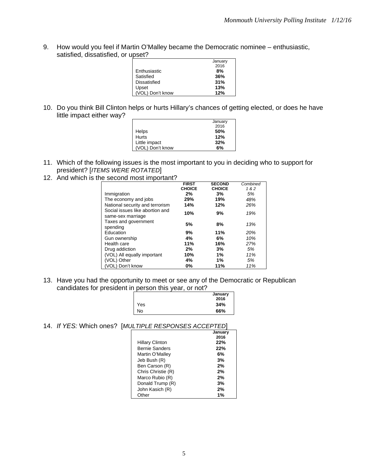9. How would you feel if Martin O'Malley became the Democratic nominee – enthusiastic, satisfied, dissatisfied, or upset?

|                  | January |
|------------------|---------|
|                  | 2016    |
| Enthusiastic     | 8%      |
| Satisfied        | 36%     |
| Dissatisfied     | 31%     |
| Upset            | 13%     |
| (VOL) Don't know | 12%     |
|                  |         |

10. Do you think Bill Clinton helps or hurts Hillary's chances of getting elected, or does he have little impact either way?

|                  | January |
|------------------|---------|
|                  |         |
|                  | 2016    |
| <b>Helps</b>     | 50%     |
| <b>Hurts</b>     | 12%     |
| Little impact    | 32%     |
| (VOL) Don't know | 6%      |

- 11. Which of the following issues is the most important to you in deciding who to support for president? [*ITEMS WERE ROTATED*]
- 12. And which is the second most important?

|                                                      | <b>FIRST</b>  | <b>SECOND</b> | Combined |
|------------------------------------------------------|---------------|---------------|----------|
|                                                      | <b>CHOICE</b> | <b>CHOICE</b> | 182      |
| Immigration                                          | 2%            | 3%            | 5%       |
| The economy and jobs                                 | 29%           | 19%           | 48%      |
| National security and terrorism                      | 14%           | 12%           | 26%      |
| Social issues like abortion and<br>same-sex marriage | 10%           | 9%            | 19%      |
| Taxes and government<br>spending                     | 5%            | 8%            | 13%      |
| Education                                            | 9%            | 11%           | 20%      |
| Gun ownership                                        | 4%            | 6%            | 10%      |
| Health care                                          | 11%           | 16%           | 27%      |
| Drug addiction                                       | 2%            | 3%            | 5%       |
| (VOL) All equally important                          | 10%           | 1%            | 11%      |
| (VOL) Other                                          | 4%            | 1%            | 5%       |
| (VOL) Don't know                                     | 0%            | 11%           | 11%      |

13. Have you had the opportunity to meet or see any of the Democratic or Republican candidates for president in person this year, or not?

|     | January<br>2016 |
|-----|-----------------|
| Yes | 34%             |
| No  | 66%             |

14. *If YES:* Which ones? [*MULTIPLE RESPONSES ACCEPTED*]

|                        | January |
|------------------------|---------|
|                        | 2016    |
| <b>Hillary Clinton</b> | 22%     |
| <b>Bernie Sanders</b>  | 22%     |
| Martin O'Malley        | 6%      |
| Jeb Bush (R)           | 3%      |
| Ben Carson (R)         | 2%      |
| Chris Christie (R)     | 2%      |
| Marco Rubio (R)        | 2%      |
| Donald Trump (R)       | 3%      |
| John Kasich (R)        | 2%      |
| Other                  | 1%      |
|                        |         |